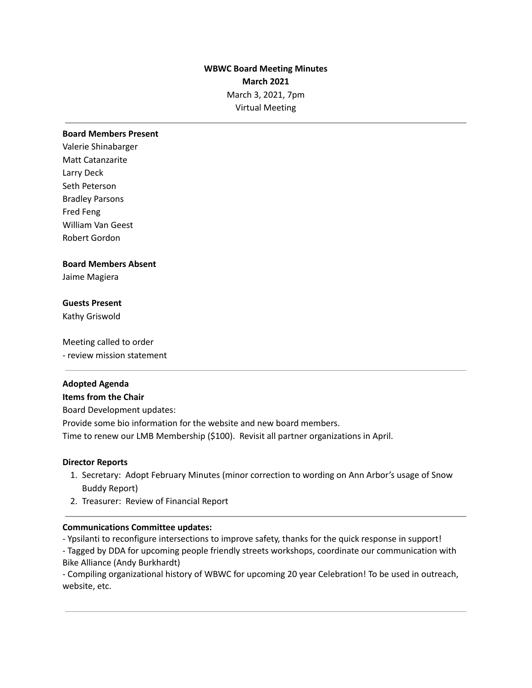# **WBWC Board Meeting Minutes March 2021** March 3, 2021, 7pm Virtual Meeting

### **Board Members Present**

Valerie Shinabarger Matt Catanzarite Larry Deck Seth Peterson Bradley Parsons Fred Feng William Van Geest Robert Gordon

### **Board Members Absent**

Jaime Magiera

### **Guests Present**

Kathy Griswold

Meeting called to order - review mission statement

### **Adopted Agenda**

#### **Items from the Chair**

Board Development updates:

Provide some bio information for the website and new board members.

Time to renew our LMB Membership (\$100). Revisit all partner organizations in April.

#### **Director Reports**

- 1. Secretary: Adopt February Minutes (minor correction to wording on Ann Arbor's usage of Snow Buddy Report)
- 2. Treasurer: Review of Financial Report

### **Communications Committee updates:**

- Ypsilanti to reconfigure intersections to improve safety, thanks for the quick response in support!

- Tagged by DDA for upcoming people friendly streets workshops, coordinate our communication with Bike Alliance (Andy Burkhardt)

- Compiling organizational history of WBWC for upcoming 20 year Celebration! To be used in outreach, website, etc.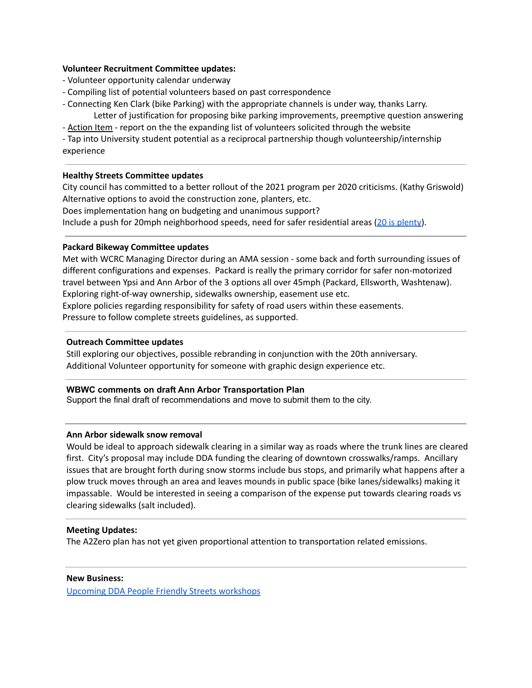### **Volunteer Recruitment Committee updates:**

- Volunteer opportunity calendar underway
- Compiling list of potential volunteers based on past correspondence
- Connecting Ken Clark (bike Parking) with the appropriate channels is under way, thanks Larry. Letter of justification for proposing bike parking improvements, preemptive question answering

- Action Item - report on the the expanding list of volunteers solicited through the website

- Tap into University student potential as a reciprocal partnership though volunteership/internship experience

# **Healthy Streets Committee updates**

City council has committed to a better rollout of the 2021 program per 2020 criticisms. (Kathy Griswold) Alternative options to avoid the construction zone, planters, etc. Does implementation hang on budgeting and unanimous support? Include a push for 20mph neighborhood speeds, need for safer residential areas (20 is [plenty](https://www.20splenty.org/)).

### **Packard Bikeway Committee updates**

Met with WCRC Managing Director during an AMA session - some back and forth surrounding issues of different configurations and expenses. Packard is really the primary corridor for safer non-motorized travel between Ypsi and Ann Arbor of the 3 options all over 45mph (Packard, Ellsworth, Washtenaw). Exploring right-of-way ownership, sidewalks ownership, easement use etc. Explore policies regarding responsibility for safety of road users within these easements. Pressure to follow complete streets guidelines, as supported.

### **Outreach Committee updates**

Still exploring our objectives, possible rebranding in conjunction with the 20th anniversary. Additional Volunteer opportunity for someone with graphic design experience etc.

# **WBWC comments on draft Ann Arbor Transportation Plan**

Support the final draft of recommendations and move to submit them to the city.

# **Ann Arbor sidewalk snow removal**

Would be ideal to approach sidewalk clearing in a similar way as roads where the trunk lines are cleared first. City's proposal may include DDA funding the clearing of downtown crosswalks/ramps. Ancillary issues that are brought forth during snow storms include bus stops, and primarily what happens after a plow truck moves through an area and leaves mounds in public space (bike lanes/sidewalks) making it impassable. Would be interested in seeing a comparison of the expense put towards clearing roads vs clearing sidewalks (salt included).

### **Meeting Updates:**

The A2Zero plan has not yet given proportional attention to transportation related emissions.

### **New Business:**

Upcoming DDA People Friendly Streets [workshops](https://www.peoplefriendlystreets.org/new-projects/)